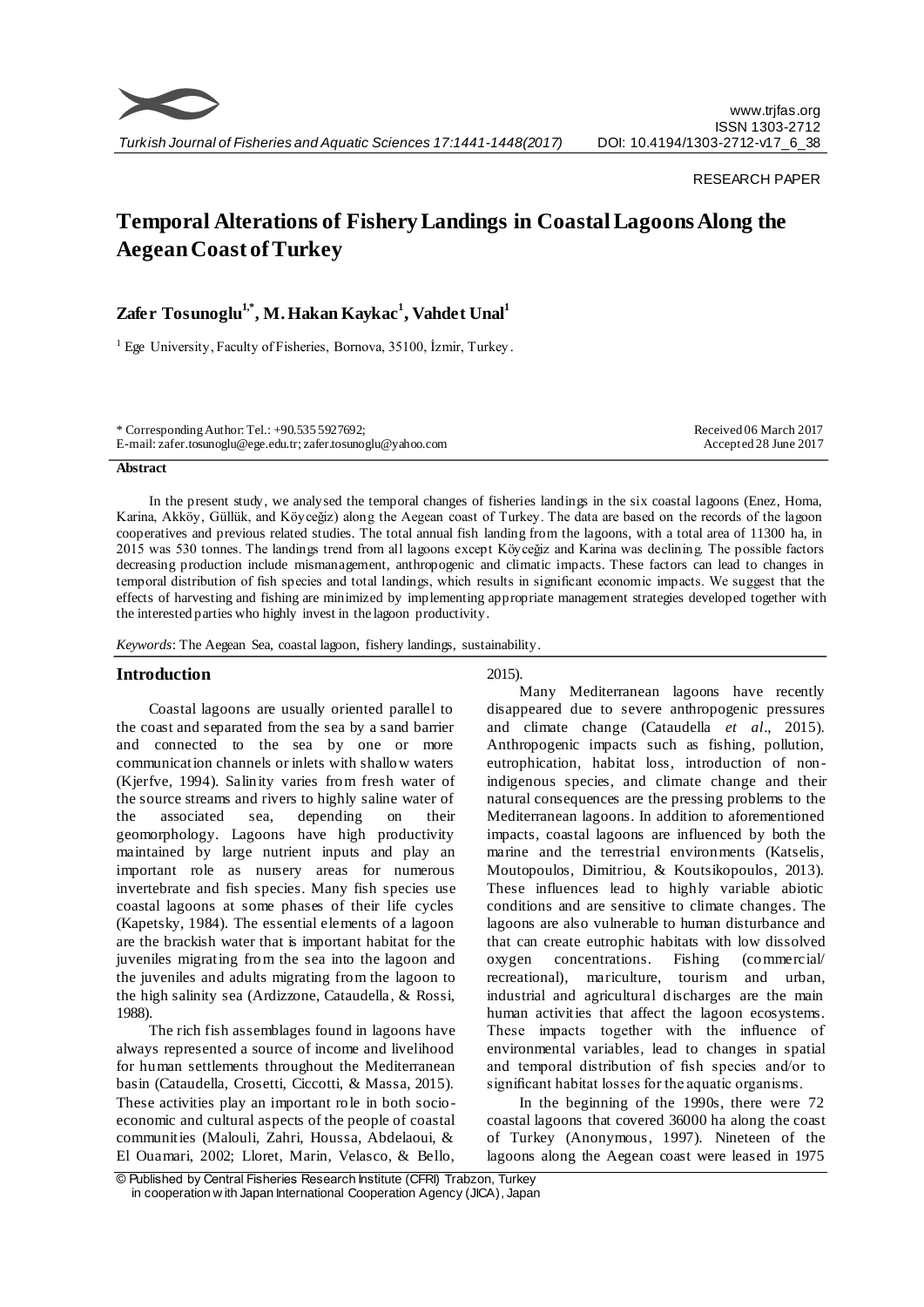

### RESEARCH PAPER

# **Temporal Alterations of Fishery Landings in Coastal Lagoons Along the Aegean Coast of Turkey**

# **Zafer Tosunoglu1,\* , M. Hakan Kaykac 1 , Vahdet Unal<sup>1</sup>**

<sup>1</sup> Ege University, Faculty of Fisheries, Bornova, 35100, İzmir, Turkey.

| * Corresponding Author: Tel.: $+90.5355927692$ ;              | Received 06 March 2017 |
|---------------------------------------------------------------|------------------------|
| E-mail: zafer.tosunoglu@ege.edu.tr; zafer.tosunoglu@yahoo.com | Accepted 28 June 2017  |

# **Abstract**

In the present study, we analysed the temporal changes of fisheries landings in the six coastal lagoons (Enez, Homa, Karina, Akköy, Güllük, and Köyceğiz) along the Aegean coast of Turkey. The data are based on the records of the lagoon cooperatives and previous related studies. The total annual fish landing from the lagoons, with a total area of 11300 ha, in 2015 was 530 tonnes. The landings trend from all lagoons except Köyceğiz and Karina was declining. The possible factors decreasing production include mismanagement, anthropogenic and climatic impacts. These factors can lead to changes in temporal distribution of fish species and total landings, which results in significant economic impacts. We suggest that the effects of harvesting and fishing are minimized by implementing appropriate management strategies developed together with the interested parties who highly invest in the lagoon productivity.

*Keywords*: The Aegean Sea, coastal lagoon, fishery landings, sustainability.

#### **Introduction**

Coastal lagoons are usually oriented parallel to the coast and separated from the sea by a sand barrier and connected to the sea by one or more communication channels or inlets with shallow waters (Kjerfve, 1994). Salinity varies from fresh water of the source streams and rivers to highly saline water of the associated sea, depending on their geomorphology. Lagoons have high productivity maintained by large nutrient inputs and play an important role as nursery areas for numerous invertebrate and fish species. Many fish species use coastal lagoons at some phases of their life cycles (Kapetsky, 1984). The essential elements of a lagoon are the brackish water that is important habitat for the juveniles migrating from the sea into the lagoon and the juveniles and adults migrating from the lagoon to the high salinity sea (Ardizzone, Cataudella, & Rossi, 1988).

The rich fish assemblages found in lagoons have always represented a source of income and livelihood for human settlements throughout the Mediterranean basin (Cataudella, Crosetti, Ciccotti, & Massa, 2015). These activities play an important role in both socioeconomic and cultural aspects of the people of coastal communities (Malouli, Zahri, Houssa, Abdelaoui, & El Ouamari, 2002; Lloret, Marin, Velasco, & Bello,

#### 2015).

Many Mediterranean lagoons have recently disappeared due to severe anthropogenic pressures and climate change (Cataudella *et al*., 2015). Anthropogenic impacts such as fishing, pollution, eutrophication, habitat loss, introduction of nonindigenous species, and climate change and their natural consequences are the pressing problems to the Mediterranean lagoons. In addition to aforementioned impacts, coastal lagoons are influenced by both the marine and the terrestrial environments (Katselis, Moutopoulos, Dimitriou, & Koutsikopoulos, 2013). These influences lead to highly variable abiotic conditions and are sensitive to climate changes. The lagoons are also vulnerable to human disturbance and that can create eutrophic habitats with low dissolved oxygen concentrations. Fishing (commercial/ recreational), mariculture, tourism and urban, industrial and agricultural discharges are the main human activities that affect the lagoon ecosystems. These impacts together with the influence of environmental variables, lead to changes in spatial and temporal distribution of fish species and/or to significant habitat losses for the aquatic organisms.

In the beginning of the 1990s, there were 72 coastal lagoons that covered 36000 ha along the coast of Turkey (Anonymous, 1997). Nineteen of the lagoons along the Aegean coast were leased in 1975

<sup>©</sup> Published by Central Fisheries Research Institute (CFRI) Trabzon, Turkey in cooperation w ith Japan International Cooperation Agency (JICA), Japan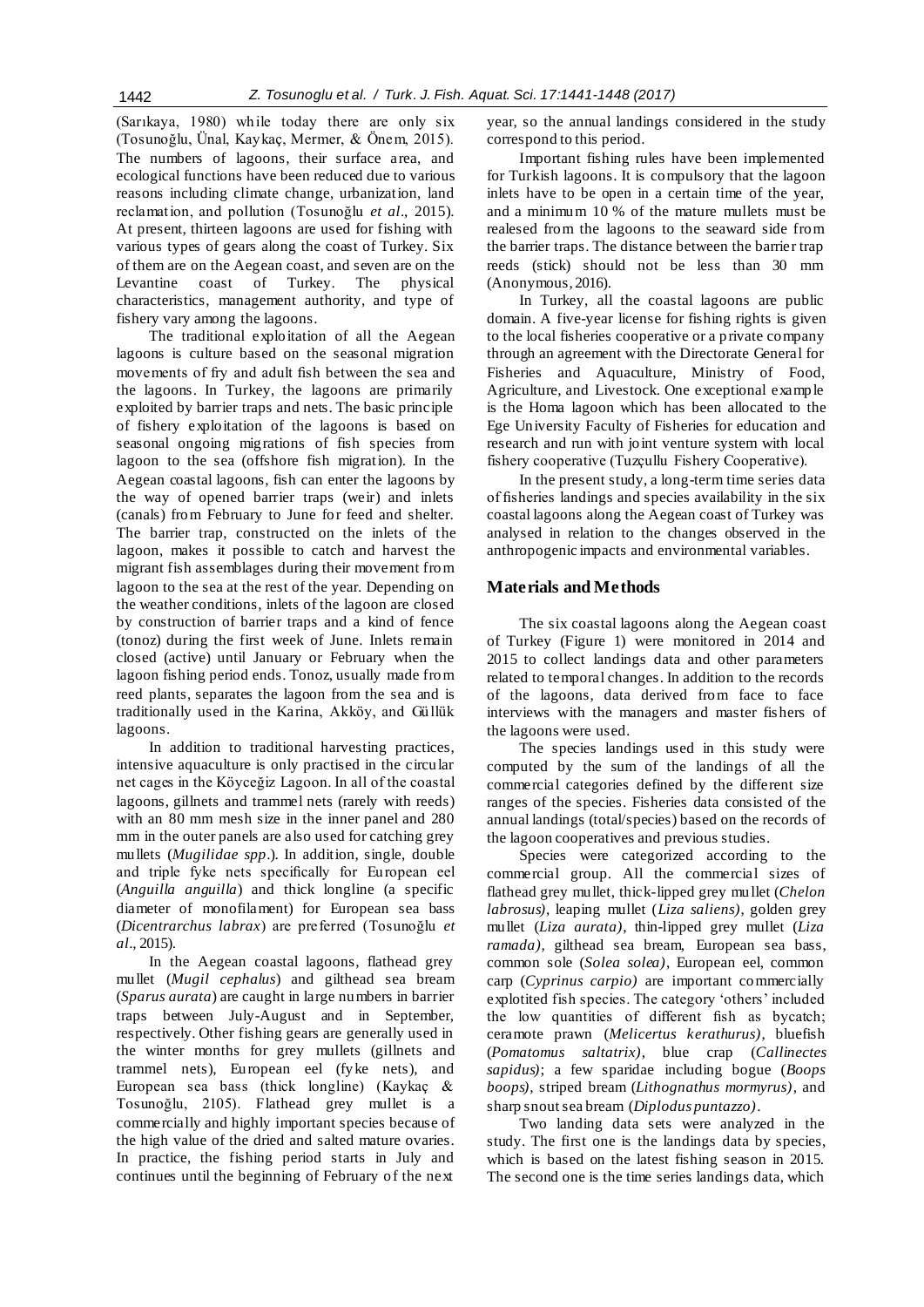(Sarıkaya, 1980) while today there are only six (Tosunoğlu, Ünal, Kaykaç, Mermer, & Önem, 2015). The numbers of lagoons, their surface area, and ecological functions have been reduced due to various reasons including climate change, urbanization, land reclamation, and pollution (Tosunoğlu *et al*., 2015). At present, thirteen lagoons are used for fishing with various types of gears along the coast of Turkey. Six of them are on the Aegean coast, and seven are on the Levantine coast of Turkey. The physical characteristics, management authority, and type of fishery vary among the lagoons.

The traditional exploitation of all the Aegean lagoons is culture based on the seasonal migration movements of fry and adult fish between the sea and the lagoons. In Turkey, the lagoons are primarily exploited by barrier traps and nets. The basic principle of fishery exploitation of the lagoons is based on seasonal ongoing migrations of fish species from lagoon to the sea (offshore fish migration). In the Aegean coastal lagoons, fish can enter the lagoons by the way of opened barrier traps (weir) and inlets (canals) from February to June for feed and shelter. The barrier trap, constructed on the inlets of the lagoon, makes it possible to catch and harvest the migrant fish assemblages during their movement from lagoon to the sea at the rest of the year. Depending on the weather conditions, inlets of the lagoon are closed by construction of barrier traps and a kind of fence (tonoz) during the first week of June. Inlets remain closed (active) until January or February when the lagoon fishing period ends. Tonoz, usually made from reed plants, separates the lagoon from the sea and is traditionally used in the Karina, Akköy, and Güllük lagoons.

In addition to traditional harvesting practices, intensive aquaculture is only practised in the circular net cages in the Köyceğiz Lagoon. In all of the coastal lagoons, gillnets and trammel nets (rarely with reeds) with an 80 mm mesh size in the inner panel and 280 mm in the outer panels are also used for catching grey mullets (*Mugilidae spp*.). In addition, single, double and triple fyke nets specifically for European eel (*Anguilla anguilla*) and thick longline (a specific diameter of monofilament) for European sea bass (*Dicentrarchus labrax*) are preferred (Tosunoğlu *et al*., 2015).

In the Aegean coastal lagoons, flathead grey mullet (*Mugil cephalus*) and gilthead sea bream (*Sparus aurata*) are caught in large numbers in barrier traps between July-August and in September, respectively. Other fishing gears are generally used in the winter months for grey mullets (gillnets and trammel nets), European eel (fyke nets), and European sea bass (thick longline) (Kaykaç & Tosunoğlu, 2105). Flathead grey mullet is a commercially and highly important species because of the high value of the dried and salted mature ovaries. In practice, the fishing period starts in July and continues until the beginning of February of the next

year, so the annual landings considered in the study correspond to this period.

Important fishing rules have been implemented for Turkish lagoons. It is compulsory that the lagoon inlets have to be open in a certain time of the year, and a minimum 10 % of the mature mullets must be realesed from the lagoons to the seaward side from the barrier traps. The distance between the barrier trap reeds (stick) should not be less than 30 mm (Anonymous, 2016).

In Turkey, all the coastal lagoons are public domain. A five-year license for fishing rights is given to the local fisheries cooperative or a private company through an agreement with the Directorate General for Fisheries and Aquaculture, Ministry of Food, Agriculture, and Livestock. One exceptional example is the Homa lagoon which has been allocated to the Ege University Faculty of Fisheries for education and research and run with joint venture system with local fishery cooperative (Tuzçullu Fishery Cooperative).

In the present study, a long-term time series data of fisheries landings and species availability in the six coastal lagoons along the Aegean coast of Turkey was analysed in relation to the changes observed in the anthropogenic impacts and environmental variables.

# **Materials and Methods**

The six coastal lagoons along the Aegean coast of Turkey (Figure 1) were monitored in 2014 and 2015 to collect landings data and other parameters related to temporal changes. In addition to the records of the lagoons, data derived from face to face interviews with the managers and master fishers of the lagoons were used.

The species landings used in this study were computed by the sum of the landings of all the commercial categories defined by the different size ranges of the species. Fisheries data consisted of the annual landings (total/species) based on the records of the lagoon cooperatives and previous studies.

Species were categorized according to the commercial group. All the commercial sizes of flathead grey mullet, thick-lipped grey mullet (*Chelon labrosus)*, leaping mullet (*Liza saliens)*, golden grey mullet (*Liza aurata)*, thin-lipped grey mullet (*Liza ramada),* gilthead sea bream, European sea bass, common sole (*Solea solea)*, European eel, common carp (*Cyprinus carpio)* are important commercially explotited fish species. The category 'others' included the low quantities of different fish as bycatch; ceramote prawn (*Melicertus kerathurus)*, bluefish (*Pomatomus saltatrix)*, blue crap (*Callinectes sapidus)*; a few sparidae including bogue (*Boops boops)*, striped bream (*Lithognathus mormyrus)*, and sharp snout sea bream (*Diplodus puntazzo)*.

Two landing data sets were analyzed in the study. The first one is the landings data by species, which is based on the latest fishing season in 2015. The second one is the time series landings data, which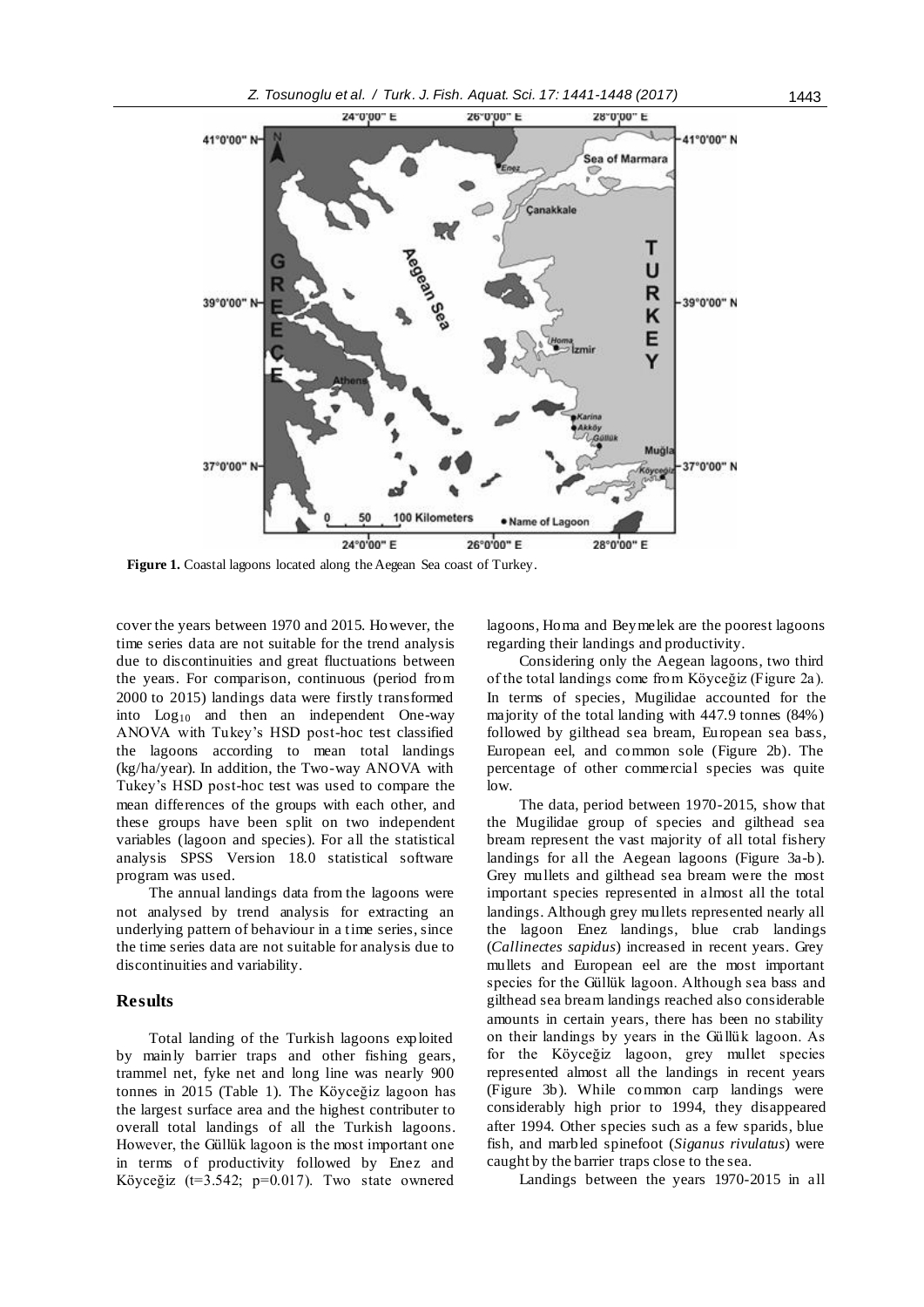

**Figure 1.** Coastal lagoons located along the Aegean Sea coast of Turkey.

cover the years between 1970 and 2015. However, the time series data are not suitable for the trend analysis due to discontinuities and great fluctuations between the years. For comparison, continuous (period from 2000 to 2015) landings data were firstly transformed into  $Log_{10}$  and then an independent One-way ANOVA with Tukey's HSD post-hoc test classified the lagoons according to mean total landings (kg/ha/year). In addition, the Two-way ANOVA with Tukey's HSD post-hoc test was used to compare the mean differences of the groups with each other, and these groups have been split on two independent variables (lagoon and species). For all the statistical analysis SPSS Version 18.0 statistical software program was used.

The annual landings data from the lagoons were not analysed by trend analysis for extracting an underlying pattern of behaviour in a time series, since the time series data are not suitable for analysis due to discontinuities and variability.

#### **Results**

Total landing of the Turkish lagoons exploited by mainly barrier traps and other fishing gears, trammel net, fyke net and long line was nearly 900 tonnes in 2015 (Table 1). The Köyceğiz lagoon has the largest surface area and the highest contributer to overall total landings of all the Turkish lagoons. However, the Güllük lagoon is the most important one in terms of productivity followed by Enez and Köyceğiz (t=3.542; p=0.017). Two state ownered lagoons, Homa and Beymelek are the poorest lagoons regarding their landings and productivity.

Considering only the Aegean lagoons, two third of the total landings come from Köyceğiz (Figure 2a). In terms of species, Mugilidae accounted for the majority of the total landing with 447.9 tonnes (84%) followed by gilthead sea bream, European sea bass, European eel, and common sole (Figure 2b). The percentage of other commercial species was quite low.

The data, period between 1970-2015, show that the Mugilidae group of species and gilthead sea bream represent the vast majority of all total fishery landings for all the Aegean lagoons (Figure 3a-b). Grey mullets and gilthead sea bream were the most important species represented in almost all the total landings. Although grey mullets represented nearly all the lagoon Enez landings, blue crab landings (*Callinectes sapidus*) increased in recent years. Grey mullets and European eel are the most important species for the Güllük lagoon. Although sea bass and gilthead sea bream landings reached also considerable amounts in certain years, there has been no stability on their landings by years in the Güllük lagoon. As for the Köyceğiz lagoon, grey mullet species represented almost all the landings in recent years (Figure 3b). While common carp landings were considerably high prior to 1994, they disappeared after 1994. Other species such as a few sparids, blue fish, and marbled spinefoot (*Siganus rivulatus*) were caught by the barrier traps close to the sea.

Landings between the years 1970-2015 in all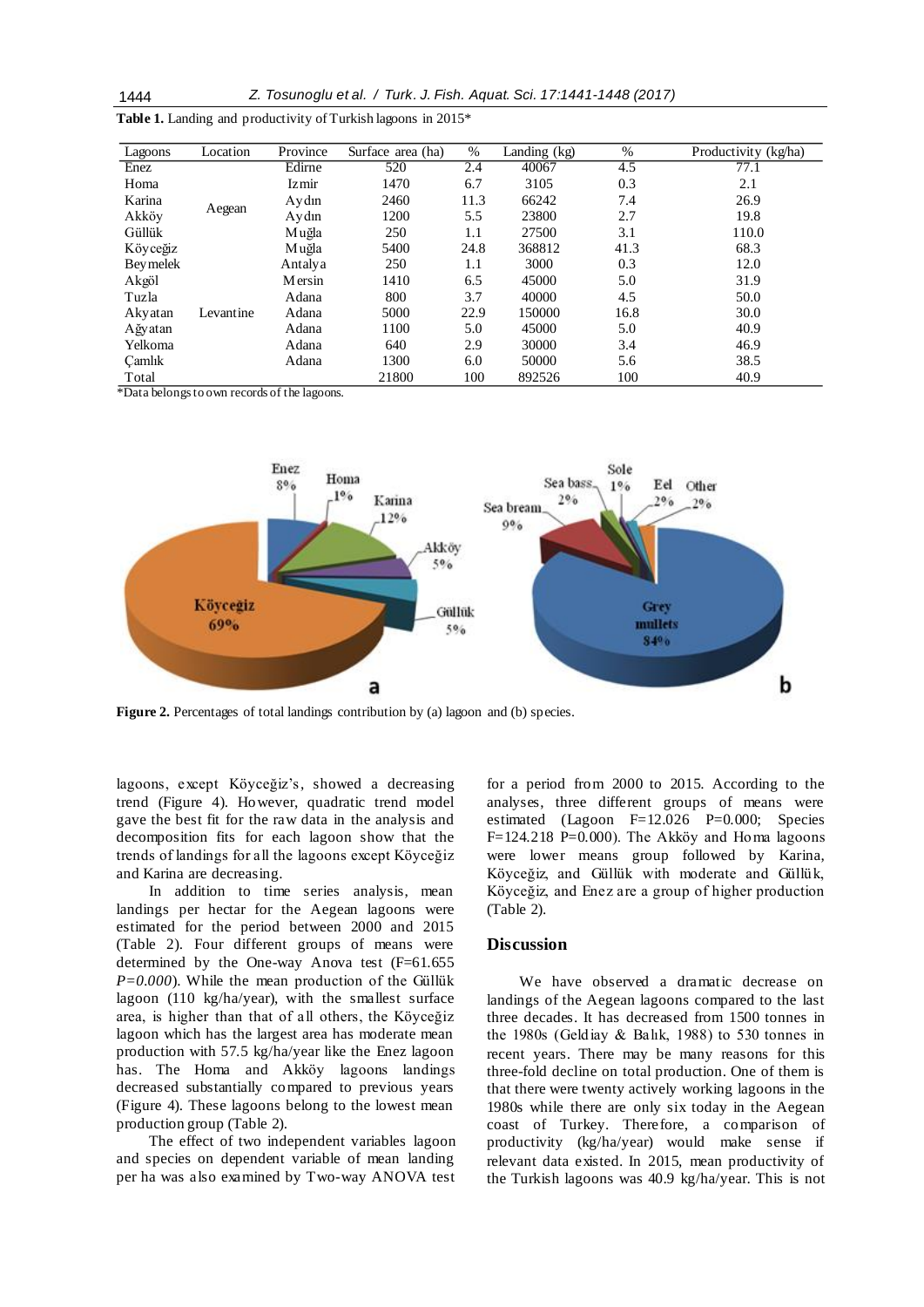| Lagoons         | Location  | Province | Surface area (ha) | %    | Landing (kg) | $\%$ | Productivity (kg/ha) |
|-----------------|-----------|----------|-------------------|------|--------------|------|----------------------|
| Enez            |           | Edirne   | 520               | 2.4  | 40067        | 4.5  | 77.1                 |
| Homa            |           | Izmir    | 1470              | 6.7  | 3105         | 0.3  | 2.1                  |
| Karina          | Aegean    | Aydın    | 2460              | 11.3 | 66242        | 7.4  | 26.9                 |
| Akköv           |           | Aydın    | 1200              | 5.5  | 23800        | 2.7  | 19.8                 |
| Güllük          |           | Muğla    | 250               | 1.1  | 27500        | 3.1  | 110.0                |
| Köyceğiz        |           | M uğla   | 5400              | 24.8 | 368812       | 41.3 | 68.3                 |
| <b>Beymelek</b> |           | Antalya  | 250               | 1.1  | 3000         | 0.3  | 12.0                 |
| Akgöl           |           | Mersin   | 1410              | 6.5  | 45000        | 5.0  | 31.9                 |
| Tuzla           |           | Adana    | 800               | 3.7  | 40000        | 4.5  | 50.0                 |
| Akyatan         | Levantine | Adana    | 5000              | 22.9 | 150000       | 16.8 | 30.0                 |
| Ağyatan         |           | Adana    | 1100              | 5.0  | 45000        | 5.0  | 40.9                 |
| Yelkoma         |           | Adana    | 640               | 2.9  | 30000        | 3.4  | 46.9                 |
| Camlık          |           | Adana    | 1300              | 6.0  | 50000        | 5.6  | 38.5                 |
| Total           |           | .        | 21800             | 100  | 892526       | 100  | 40.9                 |

**Table 1.** Landing and productivity of Turkish lagoons in 2015\*

*\**Data belongs to own records of the lagoons.



**Figure 2.** Percentages of total landings contribution by (a) lagoon and (b) species.

lagoons, except Köyceğiz's, showed a decreasing trend (Figure 4). However, quadratic trend model gave the best fit for the raw data in the analysis and decomposition fits for each lagoon show that the trends of landings for all the lagoons except Köyceğiz and Karina are decreasing.

In addition to time series analysis, mean landings per hectar for the Aegean lagoons were estimated for the period between 2000 and 2015 (Table 2). Four different groups of means were determined by the One-way Anova test (F=61.655 *P=0.000*). While the mean production of the Güllük lagoon (110 kg/ha/year), with the smallest surface area, is higher than that of all others, the Köyceğiz lagoon which has the largest area has moderate mean production with 57.5 kg/ha/year like the Enez lagoon has. The Homa and Akköy lagoons landings decreased substantially compared to previous years (Figure 4). These lagoons belong to the lowest mean production group (Table 2).

The effect of two independent variables lagoon and species on dependent variable of mean landing per ha was also examined by Two-way ANOVA test for a period from 2000 to 2015. According to the analyses, three different groups of means were estimated (Lagoon F=12.026 P=0.000; Species F=124.218 P=0.000). The Akköy and Homa lagoons were lower means group followed by Karina, Köyceğiz, and Güllük with moderate and Güllük, Köyceğiz, and Enez are a group of higher production (Table 2).

### **Discussion**

We have observed a dramatic decrease on landings of the Aegean lagoons compared to the last three decades. It has decreased from 1500 tonnes in the 1980s (Geldiay & Balık, 1988) to 530 tonnes in recent years. There may be many reasons for this three-fold decline on total production. One of them is that there were twenty actively working lagoons in the 1980s while there are only six today in the Aegean coast of Turkey. Therefore, a comparison of productivity (kg/ha/year) would make sense if relevant data existed. In 2015, mean productivity of the Turkish lagoons was 40.9 kg/ha/year. This is not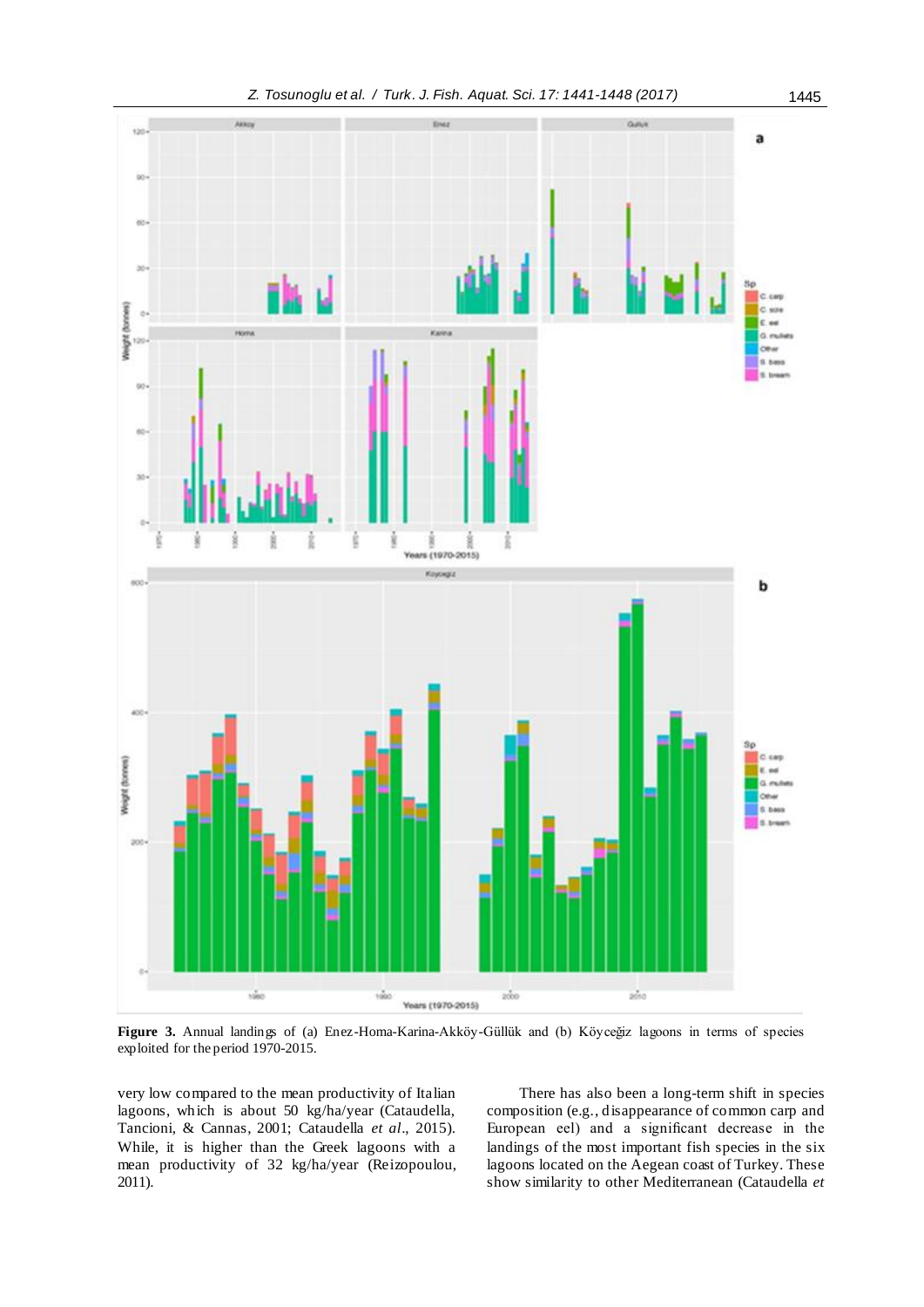

**Figure 3.** Annual landings of (a) Enez-Homa-Karina-Akköy-Güllük and (b) Köyceğiz lagoons in terms of species exploited for the period 1970-2015.

very low compared to the mean productivity of Italian lagoons, which is about 50 kg/ha/year (Cataudella, Tancioni, & Cannas, 2001; Cataudella *et al*., 2015). While, it is higher than the Greek lagoons with a mean productivity of 32 kg/ha/year (Reizopoulou, 2011).

There has also been a long-term shift in species composition (e.g., disappearance of common carp and European eel) and a significant decrease in the landings of the most important fish species in the six lagoons located on the Aegean coast of Turkey. These show similarity to other Mediterranean (Cataudella *et*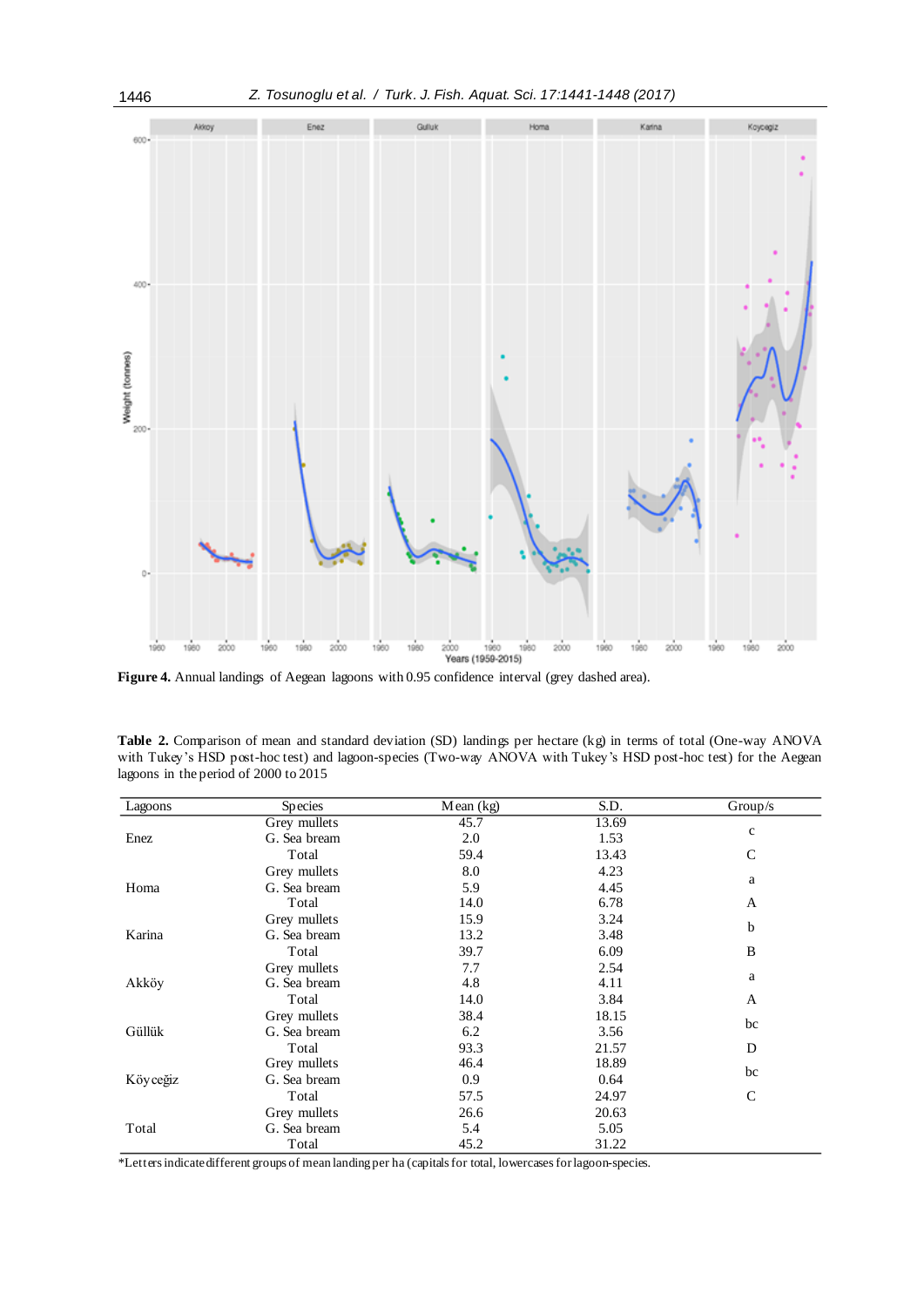



**Figure 4.** Annual landings of Aegean lagoons with 0.95 confidence interval (grey dashed area).

**Table 2.** Comparison of mean and standard deviation (SD) landings per hectare (kg) in terms of total (One-way ANOVA with Tukey's HSD post-hoc test) and lagoon-species (Two-way ANOVA with Tukey's HSD post-hoc test) for the Aegean lagoons in the period of 2000 to 2015

| Lagoons  | Species      | Mean (kg) | S.D.  | Group/s      |  |
|----------|--------------|-----------|-------|--------------|--|
|          | Grey mullets | 45.7      | 13.69 |              |  |
| Enez     | G. Sea bream | 2.0       | 1.53  | $\mathbf c$  |  |
|          | Total        | 59.4      | 13.43 | $\mathsf{C}$ |  |
|          | Grey mullets | 8.0       | 4.23  |              |  |
| Homa     | G. Sea bream | 5.9       | 4.45  | a            |  |
|          | Total        | 14.0      | 6.78  | A            |  |
|          | Grey mullets | 15.9      | 3.24  |              |  |
| Karina   | G. Sea bream | 13.2      | 3.48  | b            |  |
|          | Total        | 39.7      | 6.09  | B            |  |
|          | Grey mullets | 7.7       | 2.54  |              |  |
| Akköy    | G. Sea bream | 4.8       | 4.11  | a            |  |
|          | Total        | 14.0      | 3.84  | A            |  |
|          | Grey mullets | 38.4      | 18.15 |              |  |
| Güllük   | G. Sea bream | 6.2       | 3.56  | bc           |  |
|          | Total        | 93.3      | 21.57 | D            |  |
|          | Grey mullets | 46.4      | 18.89 |              |  |
| Köyceğiz | G. Sea bream | 0.9       | 0.64  | bc           |  |
|          | Total        | 57.5      | 24.97 | $\mathsf{C}$ |  |
| Total    | Grey mullets | 26.6      | 20.63 |              |  |
|          | G. Sea bream | 5.4       | 5.05  |              |  |
|          | Total        | 45.2      | 31.22 |              |  |

*\**Letters indicate different groups of mean landing per ha (capitals for total, lowercases for lagoon-species.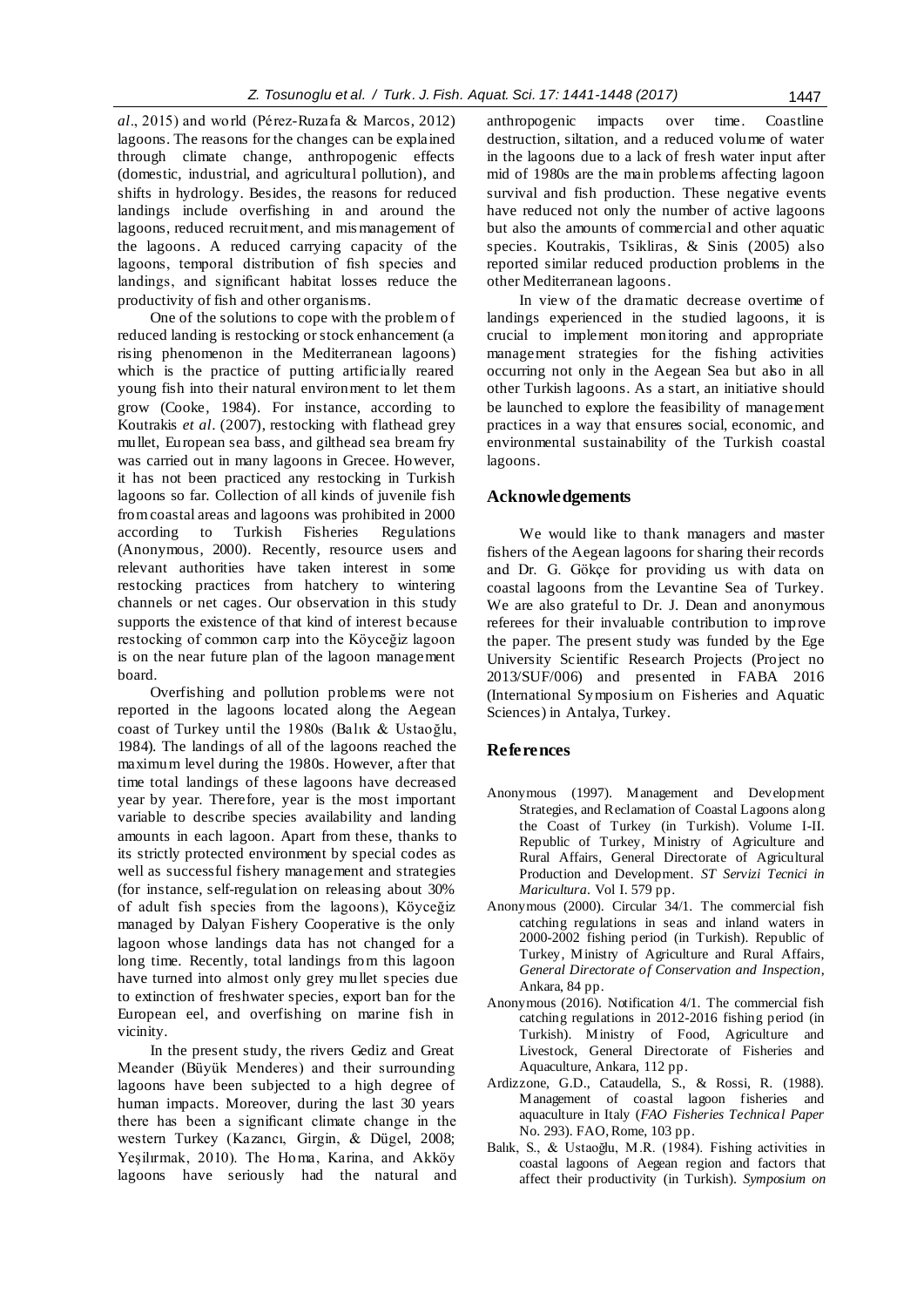*al*., 2015) and world (Pérez-Ruzafa & Marcos, 2012) lagoons. The reasons for the changes can be explained through climate change, anthropogenic effects (domestic, industrial, and agricultural pollution), and shifts in hydrology. Besides, the reasons for reduced landings include overfishing in and around the lagoons, reduced recruitment, and mis management of the lagoons. A reduced carrying capacity of the lagoons, temporal distribution of fish species and landings, and significant habitat losses reduce the productivity of fish and other organisms.

One of the solutions to cope with the problem of reduced landing is restocking or stock enhancement (a rising phenomenon in the Mediterranean lagoons) which is the practice of putting artificially reared young fish into their natural environment to let them grow (Cooke, 1984). For instance, according to Koutrakis *et al*. (2007), restocking with flathead grey mullet, European sea bass, and gilthead sea bream fry was carried out in many lagoons in Grecee. However, it has not been practiced any restocking in Turkish lagoons so far. Collection of all kinds of juvenile fish from coastal areas and lagoons was prohibited in 2000 according to Turkish Fisheries Regulations (Anonymous, 2000). Recently, resource users and relevant authorities have taken interest in some restocking practices from hatchery to wintering channels or net cages. Our observation in this study supports the existence of that kind of interest because restocking of common carp into the Köyceğiz lagoon is on the near future plan of the lagoon management board.

Overfishing and pollution problems were not reported in the lagoons located along the Aegean coast of Turkey until the 1980s (Balık & Ustaoğlu, 1984). The landings of all of the lagoons reached the maximum level during the 1980s. However, after that time total landings of these lagoons have decreased year by year. Therefore, year is the most important variable to describe species [availability](http://tureng.com/tr/turkce-ingilizce/availability) and landing amounts in each lagoon. Apart from these, thanks to its strictly protected environment by special codes as well as successful fishery management and strategies (for instance, self-regulation on releasing about 30% of adult fish species from the lagoons), Köyceğiz managed by Dalyan Fishery Cooperative is the only lagoon whose landings data has not changed for a long time. Recently, total landings from this lagoon have turned into almost only grey mullet species due to extinction of freshwater species, export ban for the European eel, and overfishing on marine fish in vicinity.

In the present study, the rivers Gediz and Great Meander (Büyük Menderes) and their surrounding lagoons have been subjected to a high degree of human impacts. Moreover, during the last 30 years there has been a significant climate change in the western Turkey (Kazancı, Girgin, & Dügel, 2008; Yeşilırmak, 2010). The Homa, Karina, and Akköy lagoons have seriously had the natural and anthropogenic impacts over time. Coastline destruction, siltation, and a reduced volume of water in the lagoons due to a lack of fresh water input after mid of 1980s are the main problems affecting lagoon survival and fish production. These negative events have reduced not only the number of active lagoons but also the amounts of commercial and other aquatic species. Koutrakis, Tsikliras, & Sinis (2005) also reported similar reduced production problems in the other Mediterranean lagoons.

In view of the dramatic decrease overtime of landings experienced in the studied lagoons, it is crucial to implement monitoring and appropriate management strategies for the fishing activities occurring not only in the Aegean Sea but also in all other Turkish lagoons. As a start, an initiative should be launched to explore the feasibility of management practices in a way that ensures social, economic, and environmental sustainability of the Turkish coastal lagoons.

# **Acknowledgements**

We would like to thank managers and master fishers of the Aegean lagoons for sharing their records and Dr. G. Gökçe for providing us with data on coastal lagoons from the Levantine Sea of Turkey. We are also grateful to Dr. J. Dean and anonymous referees for their invaluable contribution to improve the paper. The present study was funded by the Ege University Scientific Research Projects (Project no 2013/SUF/006) and presented in FABA 2016 (International Symposium on Fisheries and Aquatic Sciences) in Antalya, Turkey.

### **References**

- Anonymous (1997). Management and Development Strategies, and Reclamation of Coastal Lagoons along the Coast of Turkey (in Turkish). Volume I-II. Republic of Turkey, Ministry of Agriculture and Rural Affairs, General Directorate of Agricultural Production and Development. *ST Servizi Tecnici in Maricultura*. Vol I. 579 pp.
- Anonymous (2000). Circular 34/1. The commercial fish catching regulations in seas and inland waters in 2000-2002 fishing period (in Turkish). Republic of Turkey, Ministry of Agriculture and Rural Affairs, *General Directorate of Conservation and Inspection*, Ankara, 84 pp.
- Anonymous (2016). Notification 4/1. The commercial fish catching regulations in 2012-2016 fishing period (in Turkish). Ministry of Food, Agriculture and Livestock, General Directorate of Fisheries and Aquaculture, Ankara, 112 pp.
- Ardizzone, G.D., Cataudella, S., & Rossi, R. (1988). Management of coastal lagoon fisheries and aquaculture in Italy (*FAO Fisheries Technical Paper* No. 293). FAO, Rome, 103 pp.
- Balık, S., & Ustaoğlu, M.R. (1984). Fishing activities in coastal lagoons of Aegean region and factors that affect their productivity (in Turkish). *Symposium on*